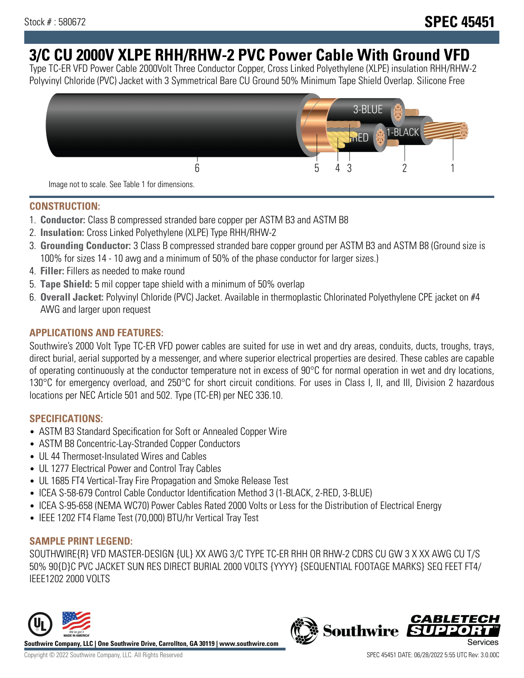# **3/C CU 2000V XLPE RHH/RHW-2 PVC Power Cable With Ground VFD**

Type TC-ER VFD Power Cable 2000Volt Three Conductor Copper, Cross Linked Polyethylene (XLPE) insulation RHH/RHW-2 Polyvinyl Chloride (PVC) Jacket with 3 Symmetrical Bare CU Ground 50% Minimum Tape Shield Overlap. Silicone Free



Image not to scale. See Table 1 for dimensions.

## **CONSTRUCTION:**

- 1. **Conductor:** Class B compressed stranded bare copper per ASTM B3 and ASTM B8
- 2. **Insulation:** Cross Linked Polyethylene (XLPE) Type RHH/RHW-2
- 3. **Grounding Conductor:** 3 Class B compressed stranded bare copper ground per ASTM B3 and ASTM B8 (Ground size is 100% for sizes 14 - 10 awg and a minimum of 50% of the phase conductor for larger sizes.)
- 4. **Filler:** Fillers as needed to make round
- 5. **Tape Shield:** 5 mil copper tape shield with a minimum of 50% overlap
- 6. **Overall Jacket:** Polyvinyl Chloride (PVC) Jacket. Available in thermoplastic Chlorinated Polyethylene CPE jacket on #4 AWG and larger upon request

## **APPLICATIONS AND FEATURES:**

Southwire's 2000 Volt Type TC-ER VFD power cables are suited for use in wet and dry areas, conduits, ducts, troughs, trays, direct burial, aerial supported by a messenger, and where superior electrical properties are desired. These cables are capable of operating continuously at the conductor temperature not in excess of 90°C for normal operation in wet and dry locations, 130°C for emergency overload, and 250°C for short circuit conditions. For uses in Class I, II, and III, Division 2 hazardous locations per NEC Article 501 and 502. Type (TC-ER) per NEC 336.10.

## **SPECIFICATIONS:**

- ASTM B3 Standard Specification for Soft or Annealed Copper Wire
- ASTM B8 Concentric-Lay-Stranded Copper Conductors
- UL 44 Thermoset-Insulated Wires and Cables
- UL 1277 Electrical Power and Control Tray Cables
- UL 1685 FT4 Vertical-Tray Fire Propagation and Smoke Release Test
- ICEA S-58-679 Control Cable Conductor Identification Method 3 (1-BLACK, 2-RED, 3-BLUE)
- ICEA S-95-658 (NEMA WC70) Power Cables Rated 2000 Volts or Less for the Distribution of Electrical Energy
- IEEE 1202 FT4 Flame Test (70,000) BTU/hr Vertical Tray Test

## **SAMPLE PRINT LEGEND:**

SOUTHWIRE{R} VFD MASTER-DESIGN {UL} XX AWG 3/C TYPE TC-ER RHH OR RHW-2 CDRS CU GW 3 X XX AWG CU T/S 50% 90{D}C PVC JACKET SUN RES DIRECT BURIAL 2000 VOLTS {YYYY} {SEQUENTIAL FOOTAGE MARKS} SEQ FEET FT4/ IEEE1202 2000 VOLTS